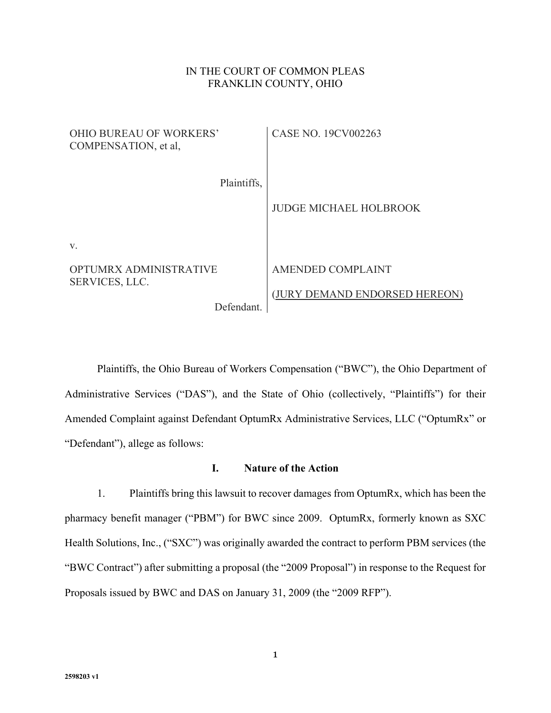# IN THE COURT OF COMMON PLEAS FRANKLIN COUNTY, OHIO

| <b>OHIO BUREAU OF WORKERS'</b><br>COMPENSATION, et al. | CASE NO. 19CV002263           |
|--------------------------------------------------------|-------------------------------|
| Plaintiffs,                                            |                               |
|                                                        | <b>JUDGE MICHAEL HOLBROOK</b> |
| V.                                                     |                               |
| <b>OPTUMRX ADMINISTRATIVE</b><br>SERVICES, LLC.        | AMENDED COMPLAINT             |
| Defendant.                                             | (JURY DEMAND ENDORSED HEREON) |

Plaintiffs, the Ohio Bureau of Workers Compensation ("BWC"), the Ohio Department of Administrative Services ("DAS"), and the State of Ohio (collectively, "Plaintiffs") for their Amended Complaint against Defendant OptumRx Administrative Services, LLC ("OptumRx" or "Defendant"), allege as follows:

# **I. Nature of the Action**

1. Plaintiffs bring this lawsuit to recover damages from OptumRx, which has been the pharmacy benefit manager ("PBM") for BWC since 2009. OptumRx, formerly known as SXC Health Solutions, Inc., ("SXC") was originally awarded the contract to perform PBM services (the "BWC Contract") after submitting a proposal (the "2009 Proposal") in response to the Request for Proposals issued by BWC and DAS on January 31, 2009 (the "2009 RFP").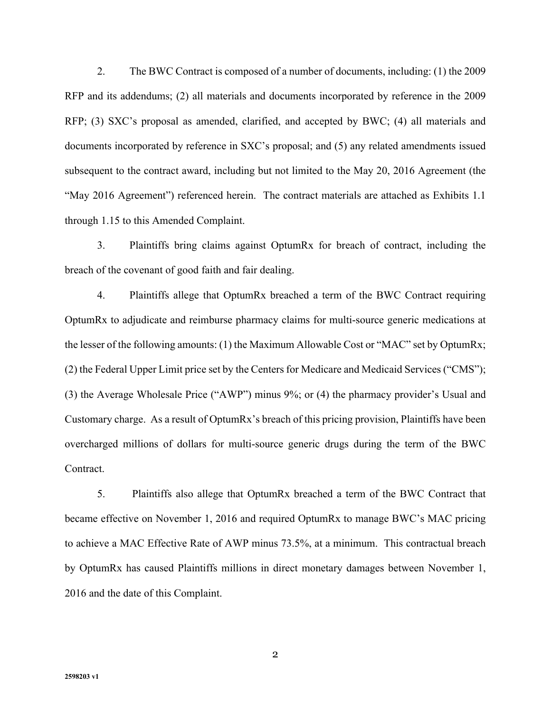2. The BWC Contract is composed of a number of documents, including: (1) the 2009 RFP and its addendums; (2) all materials and documents incorporated by reference in the 2009 RFP; (3) SXC's proposal as amended, clarified, and accepted by BWC; (4) all materials and documents incorporated by reference in SXC's proposal; and (5) any related amendments issued subsequent to the contract award, including but not limited to the May 20, 2016 Agreement (the "May 2016 Agreement") referenced herein. The contract materials are attached as Exhibits 1.1 through 1.15 to this Amended Complaint.

3. Plaintiffs bring claims against OptumRx for breach of contract, including the breach of the covenant of good faith and fair dealing.

4. Plaintiffs allege that OptumRx breached a term of the BWC Contract requiring OptumRx to adjudicate and reimburse pharmacy claims for multi-source generic medications at the lesser of the following amounts: (1) the Maximum Allowable Cost or "MAC" set by OptumRx; (2) the Federal Upper Limit price set by the Centers for Medicare and Medicaid Services ("CMS"); (3) the Average Wholesale Price ("AWP") minus 9%; or (4) the pharmacy provider's Usual and Customary charge. As a result of OptumRx's breach of this pricing provision, Plaintiffs have been overcharged millions of dollars for multi-source generic drugs during the term of the BWC Contract.

5. Plaintiffs also allege that OptumRx breached a term of the BWC Contract that became effective on November 1, 2016 and required OptumRx to manage BWC's MAC pricing to achieve a MAC Effective Rate of AWP minus 73.5%, at a minimum. This contractual breach by OptumRx has caused Plaintiffs millions in direct monetary damages between November 1, 2016 and the date of this Complaint.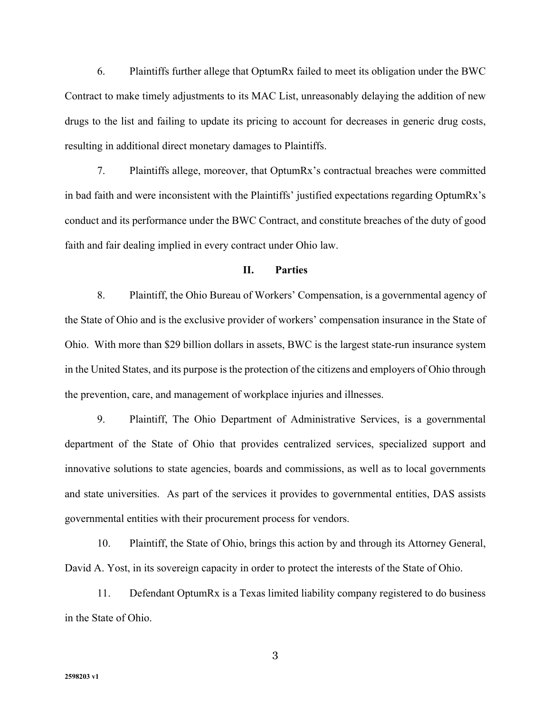6. Plaintiffs further allege that OptumRx failed to meet its obligation under the BWC Contract to make timely adjustments to its MAC List, unreasonably delaying the addition of new drugs to the list and failing to update its pricing to account for decreases in generic drug costs, resulting in additional direct monetary damages to Plaintiffs.

7. Plaintiffs allege, moreover, that OptumRx's contractual breaches were committed in bad faith and were inconsistent with the Plaintiffs' justified expectations regarding OptumRx's conduct and its performance under the BWC Contract, and constitute breaches of the duty of good faith and fair dealing implied in every contract under Ohio law.

#### **II. Parties**

8. Plaintiff, the Ohio Bureau of Workers' Compensation, is a governmental agency of the State of Ohio and is the exclusive provider of workers' compensation insurance in the State of Ohio. With more than \$29 billion dollars in assets, BWC is the largest state-run insurance system in the United States, and its purpose is the protection of the citizens and employers of Ohio through the prevention, care, and management of workplace injuries and illnesses.

9. Plaintiff, The Ohio Department of Administrative Services, is a governmental department of the State of Ohio that provides centralized services, specialized support and innovative solutions to state agencies, boards and commissions, as well as to local governments and state universities. As part of the services it provides to governmental entities, DAS assists governmental entities with their procurement process for vendors.

10. Plaintiff, the State of Ohio, brings this action by and through its Attorney General, David A. Yost, in its sovereign capacity in order to protect the interests of the State of Ohio.

11. Defendant OptumRx is a Texas limited liability company registered to do business in the State of Ohio.

**2598203 v1**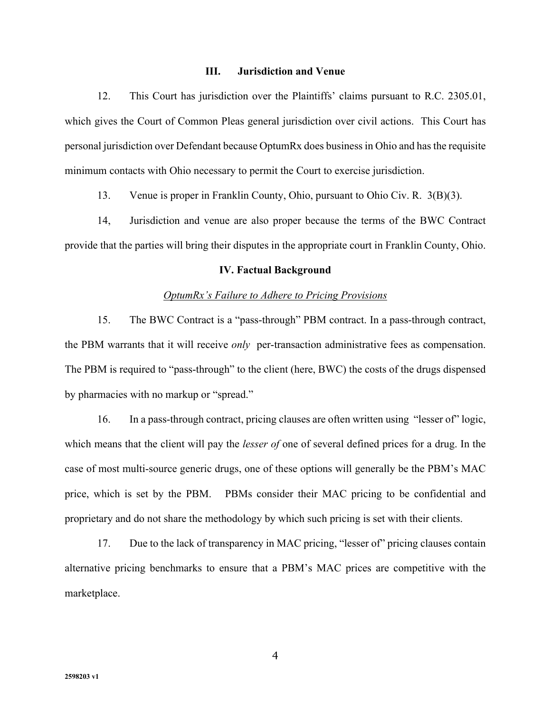#### **III. Jurisdiction and Venue**

12. This Court has jurisdiction over the Plaintiffs' claims pursuant to R.C. 2305.01, which gives the Court of Common Pleas general jurisdiction over civil actions. This Court has personal jurisdiction over Defendant because OptumRx does business in Ohio and has the requisite minimum contacts with Ohio necessary to permit the Court to exercise jurisdiction.

13. Venue is proper in Franklin County, Ohio, pursuant to Ohio Civ. R. 3(B)(3).

14, Jurisdiction and venue are also proper because the terms of the BWC Contract provide that the parties will bring their disputes in the appropriate court in Franklin County, Ohio.

#### **IV. Factual Background**

#### *OptumRx's Failure to Adhere to Pricing Provisions*

 15. The BWC Contract is a "pass-through" PBM contract. In a pass-through contract, the PBM warrants that it will receive *only* per-transaction administrative fees as compensation. The PBM is required to "pass-through" to the client (here, BWC) the costs of the drugs dispensed by pharmacies with no markup or "spread."

16. In a pass-through contract, pricing clauses are often written using "lesser of" logic, which means that the client will pay the *lesser of* one of several defined prices for a drug. In the case of most multi-source generic drugs, one of these options will generally be the PBM's MAC price, which is set by the PBM. PBMs consider their MAC pricing to be confidential and proprietary and do not share the methodology by which such pricing is set with their clients.

17. Due to the lack of transparency in MAC pricing, "lesser of" pricing clauses contain alternative pricing benchmarks to ensure that a PBM's MAC prices are competitive with the marketplace.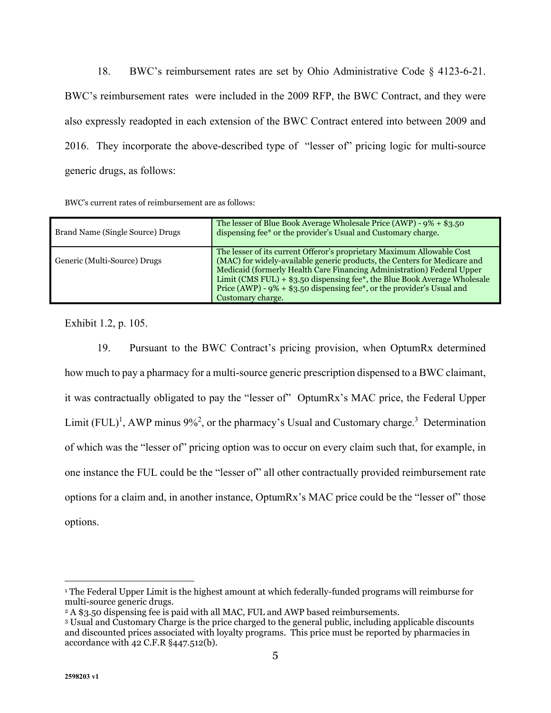18. BWC's reimbursement rates are set by Ohio Administrative Code § 4123-6-21. BWC's reimbursement rates were included in the 2009 RFP, the BWC Contract, and they were also expressly readopted in each extension of the BWC Contract entered into between 2009 and 2016. They incorporate the above-described type of "lesser of" pricing logic for multi-source generic drugs, as follows:

| Brand Name (Single Source) Drugs | The lesser of Blue Book Average Wholesale Price (AWP) - $9\% + $3.50$<br>dispensing fee* or the provider's Usual and Customary charge.                                                                                                                                                                                                                                                                        |
|----------------------------------|---------------------------------------------------------------------------------------------------------------------------------------------------------------------------------------------------------------------------------------------------------------------------------------------------------------------------------------------------------------------------------------------------------------|
| Generic (Multi-Source) Drugs     | The lesser of its current Offeror's proprietary Maximum Allowable Cost<br>(MAC) for widely-available generic products, the Centers for Medicare and<br>Medicaid (formerly Health Care Financing Administration) Federal Upper<br>Limit (CMS FUL) + $$3.50$ dispensing fee*, the Blue Book Average Wholesale<br>Price (AWP) - $9\%$ + \$3.50 dispensing fee*, or the provider's Usual and<br>Customary charge. |

Exhibit 1.2, p. 105.

 19. Pursuant to the BWC Contract's pricing provision, when OptumRx determined how much to pay a pharmacy for a multi-source generic prescription dispensed to a BWC claimant, it was contractually obligated to pay the "lesser of" OptumRx's MAC price, the Federal Upper Limit  $(FUL)^1$ , AWP minus 9%<sup>2</sup>, or the pharmacy's Usual and Customary charge.<sup>3</sup> Determination of which was the "lesser of" pricing option was to occur on every claim such that, for example, in one instance the FUL could be the "lesser of" all other contractually provided reimbursement rate options for a claim and, in another instance, OptumRx's MAC price could be the "lesser of" those options.

<sup>1</sup> The Federal Upper Limit is the highest amount at which federally-funded programs will reimburse for multi-source generic drugs.

<sup>&</sup>lt;sup>2</sup> A \$3.50 dispensing fee is paid with all MAC, FUL and AWP based reimbursements.

<sup>3</sup> Usual and Customary Charge is the price charged to the general public, including applicable discounts and discounted prices associated with loyalty programs. This price must be reported by pharmacies in accordance with 42 C.F.R §447.512(b).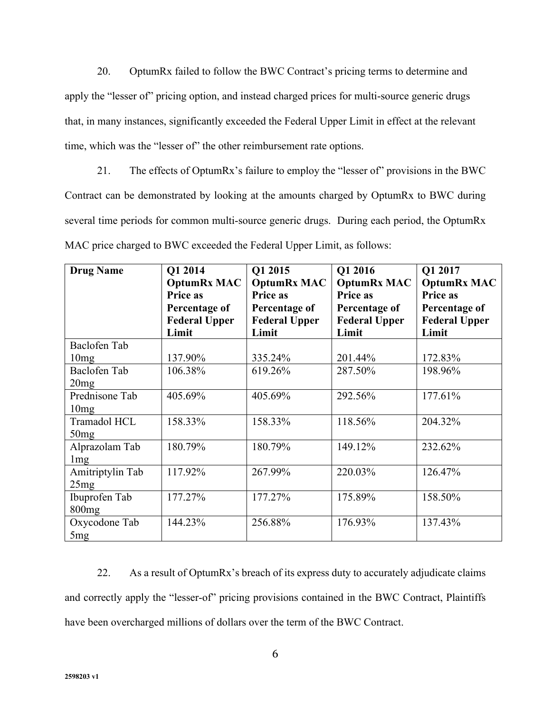20. OptumRx failed to follow the BWC Contract's pricing terms to determine and apply the "lesser of" pricing option, and instead charged prices for multi-source generic drugs that, in many instances, significantly exceeded the Federal Upper Limit in effect at the relevant time, which was the "lesser of" the other reimbursement rate options.

 21. The effects of OptumRx's failure to employ the "lesser of" provisions in the BWC Contract can be demonstrated by looking at the amounts charged by OptumRx to BWC during several time periods for common multi-source generic drugs. During each period, the OptumRx MAC price charged to BWC exceeded the Federal Upper Limit, as follows:

| <b>Drug Name</b>                 | Q1 2014<br><b>OptumRx MAC</b><br>Price as<br>Percentage of<br><b>Federal Upper</b><br>Limit | Q1 2015<br><b>OptumRx MAC</b><br>Price as<br>Percentage of<br><b>Federal Upper</b><br>Limit | Q1 2016<br><b>OptumRx MAC</b><br>Price as<br>Percentage of<br><b>Federal Upper</b><br>Limit | Q1 2017<br><b>OptumRx MAC</b><br>Price as<br>Percentage of<br><b>Federal Upper</b><br>Limit |
|----------------------------------|---------------------------------------------------------------------------------------------|---------------------------------------------------------------------------------------------|---------------------------------------------------------------------------------------------|---------------------------------------------------------------------------------------------|
| Baclofen Tab                     |                                                                                             |                                                                                             |                                                                                             |                                                                                             |
| 10mg                             | 137.90%                                                                                     | 335.24%                                                                                     | 201.44%                                                                                     | 172.83%                                                                                     |
| Baclofen Tab<br>20mg             | 106.38%                                                                                     | 619.26%                                                                                     | 287.50%                                                                                     | 198.96%                                                                                     |
| Prednisone Tab<br>10mg           | 405.69%                                                                                     | 405.69%                                                                                     | 292.56%                                                                                     | 177.61%                                                                                     |
| Tramadol HCL<br>50mg             | 158.33%                                                                                     | 158.33%                                                                                     | 118.56%                                                                                     | 204.32%                                                                                     |
| Alprazolam Tab<br>1mg            | 180.79%                                                                                     | 180.79%                                                                                     | 149.12%                                                                                     | 232.62%                                                                                     |
| Amitriptylin Tab<br>25mg         | 117.92%                                                                                     | 267.99%                                                                                     | 220.03%                                                                                     | 126.47%                                                                                     |
| Ibuprofen Tab<br>800mg           | 177.27%                                                                                     | 177.27%                                                                                     | 175.89%                                                                                     | 158.50%                                                                                     |
| Oxycodone Tab<br>5 <sub>mg</sub> | 144.23%                                                                                     | 256.88%                                                                                     | 176.93%                                                                                     | 137.43%                                                                                     |

 22. As a result of OptumRx's breach of its express duty to accurately adjudicate claims and correctly apply the "lesser-of" pricing provisions contained in the BWC Contract, Plaintiffs have been overcharged millions of dollars over the term of the BWC Contract.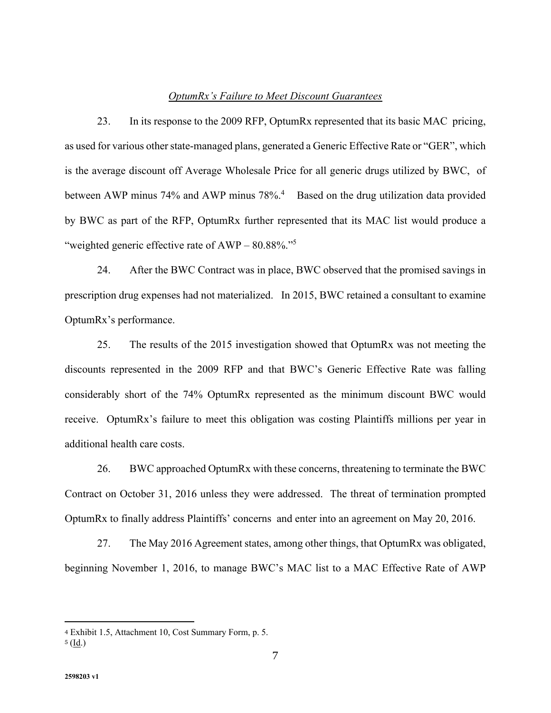#### *OptumRx's Failure to Meet Discount Guarantees*

 23. In its response to the 2009 RFP, OptumRx represented that its basic MAC pricing, as used for various other state-managed plans, generated a Generic Effective Rate or "GER", which is the average discount off Average Wholesale Price for all generic drugs utilized by BWC, of between AWP minus 74% and AWP minus  $78\%$ .<sup>4</sup> Based on the drug utilization data provided by BWC as part of the RFP, OptumRx further represented that its MAC list would produce a "weighted generic effective rate of  $AWP - 80.88\%$ ."<sup>5</sup>

 24. After the BWC Contract was in place, BWC observed that the promised savings in prescription drug expenses had not materialized. In 2015, BWC retained a consultant to examine OptumRx's performance.

25. The results of the 2015 investigation showed that OptumRx was not meeting the discounts represented in the 2009 RFP and that BWC's Generic Effective Rate was falling considerably short of the 74% OptumRx represented as the minimum discount BWC would receive. OptumRx's failure to meet this obligation was costing Plaintiffs millions per year in additional health care costs.

26. BWC approached OptumRx with these concerns, threatening to terminate the BWC Contract on October 31, 2016 unless they were addressed. The threat of termination prompted OptumRx to finally address Plaintiffs' concerns and enter into an agreement on May 20, 2016.

27. The May 2016 Agreement states, among other things, that OptumRx was obligated, beginning November 1, 2016, to manage BWC's MAC list to a MAC Effective Rate of AWP

<sup>4</sup> Exhibit 1.5, Attachment 10, Cost Summary Form, p. 5.

 $5 (Id.)$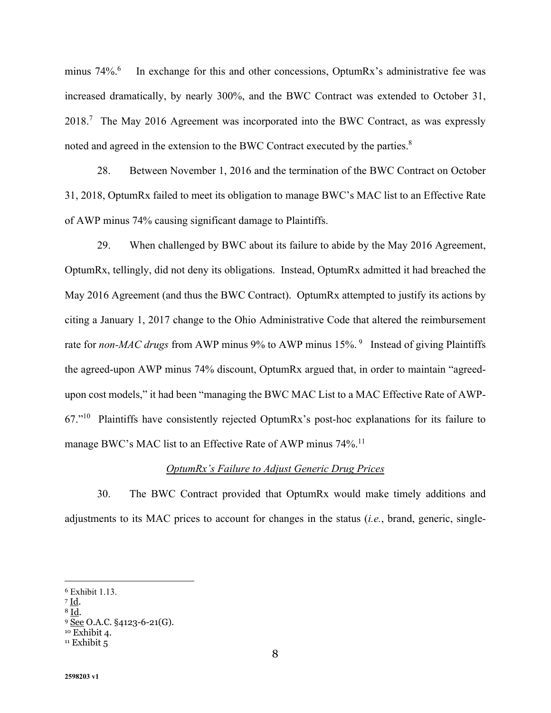minus  $74\%$ <sup>6</sup> In exchange for this and other concessions, OptumRx's administrative fee was increased dramatically, by nearly 300%, and the BWC Contract was extended to October 31,  $2018$ .<sup>7</sup> The May 2016 Agreement was incorporated into the BWC Contract, as was expressly noted and agreed in the extension to the BWC Contract executed by the parties. $8$ 

28. Between November 1, 2016 and the termination of the BWC Contract on October 31, 2018, OptumRx failed to meet its obligation to manage BWC's MAC list to an Effective Rate of AWP minus 74% causing significant damage to Plaintiffs.

29. When challenged by BWC about its failure to abide by the May 2016 Agreement, OptumRx, tellingly, did not deny its obligations. Instead, OptumRx admitted it had breached the May 2016 Agreement (and thus the BWC Contract). OptumRx attempted to justify its actions by citing a January 1, 2017 change to the Ohio Administrative Code that altered the reimbursement rate for *non-MAC drugs* from AWP minus 9% to AWP minus 15%.<sup>9</sup> Instead of giving Plaintiffs the agreed-upon AWP minus 74% discount, OptumRx argued that, in order to maintain "agreedupon cost models," it had been "managing the BWC MAC List to a MAC Effective Rate of AWP-67."<sup>10</sup> Plaintiffs have consistently rejected OptumRx's post-hoc explanations for its failure to manage BWC's MAC list to an Effective Rate of AWP minus 74%.<sup>11</sup>

# *OptumRx's Failure to Adjust Generic Drug Prices*

30. The BWC Contract provided that OptumRx would make timely additions and adjustments to its MAC prices to account for changes in the status (*i.e.*, brand, generic, single-

<sup>6</sup> Exhibit 1.13.

<sup>7</sup> Id. 8 Id.

<sup>9 &</sup>lt;u>See</u> O.A.C. §4123-6-21(G).<br><sup>10</sup> Exhibit 4.

 $11$  Exhibit  $5$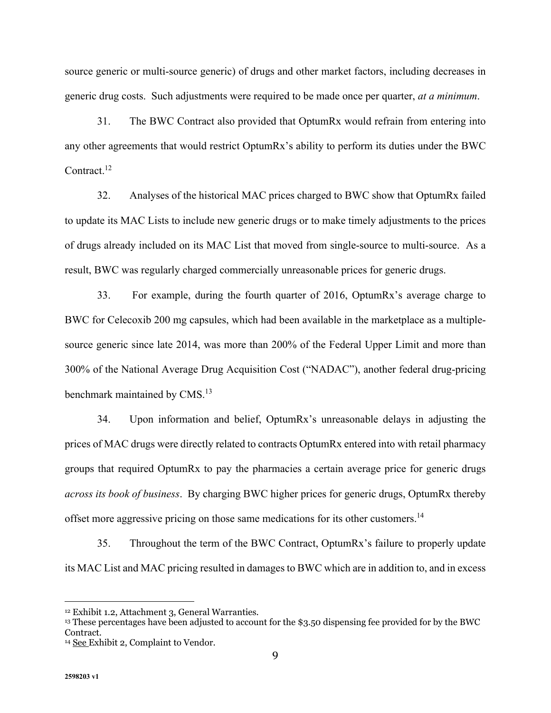source generic or multi-source generic) of drugs and other market factors, including decreases in generic drug costs. Such adjustments were required to be made once per quarter, *at a minimum*.

31. The BWC Contract also provided that OptumRx would refrain from entering into any other agreements that would restrict OptumRx's ability to perform its duties under the BWC Contract.<sup>12</sup>

32. Analyses of the historical MAC prices charged to BWC show that OptumRx failed to update its MAC Lists to include new generic drugs or to make timely adjustments to the prices of drugs already included on its MAC List that moved from single-source to multi-source. As a result, BWC was regularly charged commercially unreasonable prices for generic drugs.

33. For example, during the fourth quarter of 2016, OptumRx's average charge to BWC for Celecoxib 200 mg capsules, which had been available in the marketplace as a multiplesource generic since late 2014, was more than 200% of the Federal Upper Limit and more than 300% of the National Average Drug Acquisition Cost ("NADAC"), another federal drug-pricing benchmark maintained by CMS.<sup>13</sup>

34. Upon information and belief, OptumRx's unreasonable delays in adjusting the prices of MAC drugs were directly related to contracts OptumRx entered into with retail pharmacy groups that required OptumRx to pay the pharmacies a certain average price for generic drugs *across its book of business*. By charging BWC higher prices for generic drugs, OptumRx thereby offset more aggressive pricing on those same medications for its other customers.<sup>14</sup>

35. Throughout the term of the BWC Contract, OptumRx's failure to properly update its MAC List and MAC pricing resulted in damages to BWC which are in addition to, and in excess

<sup>12</sup> Exhibit 1.2, Attachment 3, General Warranties.

<sup>13</sup> These percentages have been adjusted to account for the \$3.50 dispensing fee provided for by the BWC Contract.

<sup>&</sup>lt;sup>14</sup> See Exhibit 2, Complaint to Vendor.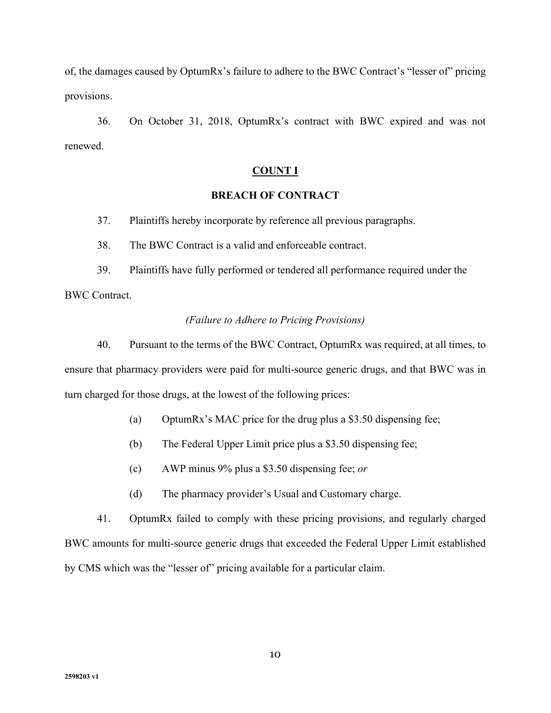of, the damages caused by OptumRx's failure to adhere to the BWC Contract's "lesser of" pricing provisions.

36. On October 31, 2018, OptumRx's contract with BWC expired and was not renewed.

### **COUNT I**

### **BREACH OF CONTRACT**

37. Plaintiffs hereby incorporate by reference all previous paragraphs.

38. The BWC Contract is a valid and enforceable contract.

 39. Plaintiffs have fully performed or tendered all performance required under the BWC Contract.

#### *(Failure to Adhere to Pricing Provisions)*

 40. Pursuant to the terms of the BWC Contract, OptumRx was required, at all times, to ensure that pharmacy providers were paid for multi-source generic drugs, and that BWC was in turn charged for those drugs, at the lowest of the following prices:

- (a) OptumRx's MAC price for the drug plus a \$3.50 dispensing fee;
- (b) The Federal Upper Limit price plus a \$3.50 dispensing fee;
- (c) AWP minus 9% plus a \$3.50 dispensing fee; *or*
- (d) The pharmacy provider's Usual and Customary charge.

 41. OptumRx failed to comply with these pricing provisions, and regularly charged BWC amounts for multi-source generic drugs that exceeded the Federal Upper Limit established by CMS which was the "lesser of" pricing available for a particular claim.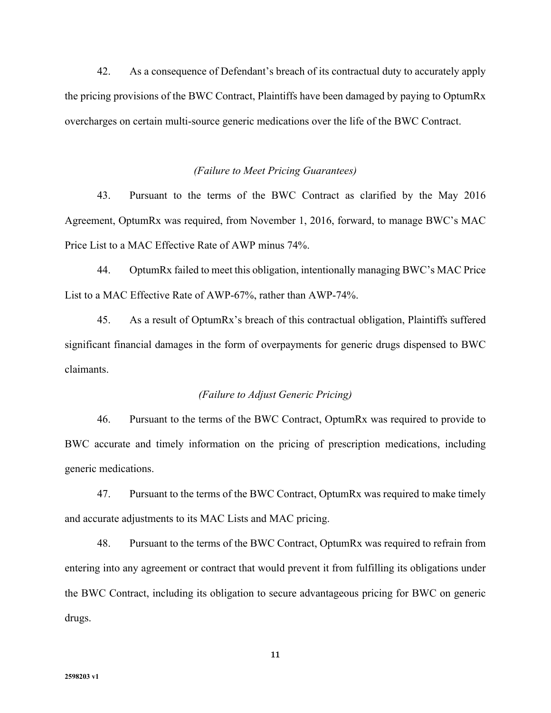42. As a consequence of Defendant's breach of its contractual duty to accurately apply the pricing provisions of the BWC Contract, Plaintiffs have been damaged by paying to OptumRx overcharges on certain multi-source generic medications over the life of the BWC Contract.

#### *(Failure to Meet Pricing Guarantees)*

43. Pursuant to the terms of the BWC Contract as clarified by the May 2016 Agreement, OptumRx was required, from November 1, 2016, forward, to manage BWC's MAC Price List to a MAC Effective Rate of AWP minus 74%.

44. OptumRx failed to meet this obligation, intentionally managing BWC's MAC Price List to a MAC Effective Rate of AWP-67%, rather than AWP-74%.

45. As a result of OptumRx's breach of this contractual obligation, Plaintiffs suffered significant financial damages in the form of overpayments for generic drugs dispensed to BWC claimants.

#### *(Failure to Adjust Generic Pricing)*

 46. Pursuant to the terms of the BWC Contract, OptumRx was required to provide to BWC accurate and timely information on the pricing of prescription medications, including generic medications.

 47. Pursuant to the terms of the BWC Contract, OptumRx was required to make timely and accurate adjustments to its MAC Lists and MAC pricing.

 48. Pursuant to the terms of the BWC Contract, OptumRx was required to refrain from entering into any agreement or contract that would prevent it from fulfilling its obligations under the BWC Contract, including its obligation to secure advantageous pricing for BWC on generic drugs.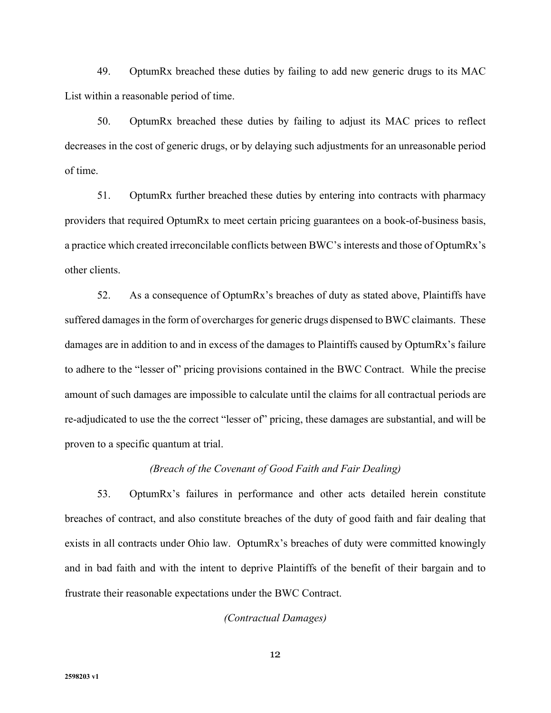49. OptumRx breached these duties by failing to add new generic drugs to its MAC List within a reasonable period of time.

 50. OptumRx breached these duties by failing to adjust its MAC prices to reflect decreases in the cost of generic drugs, or by delaying such adjustments for an unreasonable period of time.

 51. OptumRx further breached these duties by entering into contracts with pharmacy providers that required OptumRx to meet certain pricing guarantees on a book-of-business basis, a practice which created irreconcilable conflicts between BWC's interests and those of OptumRx's other clients.

 52. As a consequence of OptumRx's breaches of duty as stated above, Plaintiffs have suffered damages in the form of overcharges for generic drugs dispensed to BWC claimants. These damages are in addition to and in excess of the damages to Plaintiffs caused by OptumRx's failure to adhere to the "lesser of" pricing provisions contained in the BWC Contract. While the precise amount of such damages are impossible to calculate until the claims for all contractual periods are re-adjudicated to use the the correct "lesser of" pricing, these damages are substantial, and will be proven to a specific quantum at trial.

## *(Breach of the Covenant of Good Faith and Fair Dealing)*

 53. OptumRx's failures in performance and other acts detailed herein constitute breaches of contract, and also constitute breaches of the duty of good faith and fair dealing that exists in all contracts under Ohio law. OptumRx's breaches of duty were committed knowingly and in bad faith and with the intent to deprive Plaintiffs of the benefit of their bargain and to frustrate their reasonable expectations under the BWC Contract.

#### *(Contractual Damages)*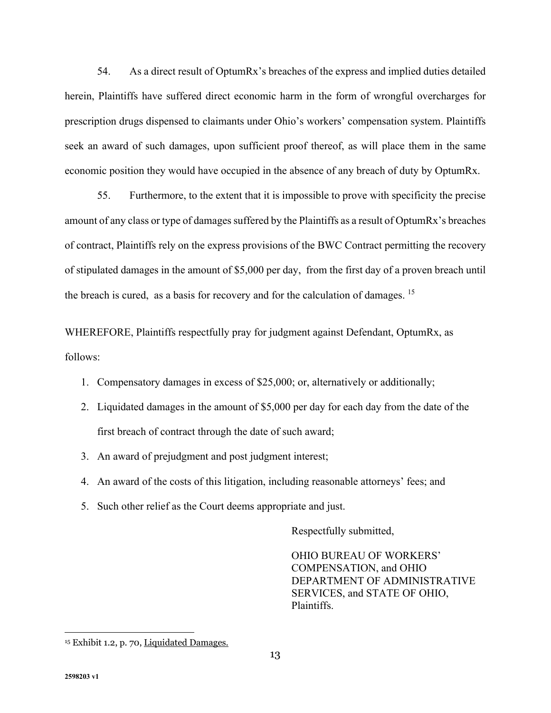54. As a direct result of OptumRx's breaches of the express and implied duties detailed herein, Plaintiffs have suffered direct economic harm in the form of wrongful overcharges for prescription drugs dispensed to claimants under Ohio's workers' compensation system. Plaintiffs seek an award of such damages, upon sufficient proof thereof, as will place them in the same economic position they would have occupied in the absence of any breach of duty by OptumRx.

 55. Furthermore, to the extent that it is impossible to prove with specificity the precise amount of any class or type of damages suffered by the Plaintiffs as a result of OptumRx's breaches of contract, Plaintiffs rely on the express provisions of the BWC Contract permitting the recovery of stipulated damages in the amount of \$5,000 per day, from the first day of a proven breach until the breach is cured, as a basis for recovery and for the calculation of damages. 15

WHEREFORE, Plaintiffs respectfully pray for judgment against Defendant, OptumRx, as follows:

- 1. Compensatory damages in excess of \$25,000; or, alternatively or additionally;
- 2. Liquidated damages in the amount of \$5,000 per day for each day from the date of the first breach of contract through the date of such award;
- 3. An award of prejudgment and post judgment interest;
- 4. An award of the costs of this litigation, including reasonable attorneys' fees; and
- 5. Such other relief as the Court deems appropriate and just.

Respectfully submitted,

OHIO BUREAU OF WORKERS' COMPENSATION, and OHIO DEPARTMENT OF ADMINISTRATIVE SERVICES, and STATE OF OHIO, Plaintiffs.

<sup>&</sup>lt;sup>15</sup> Exhibit 1.2, p. 70, Liquidated Damages.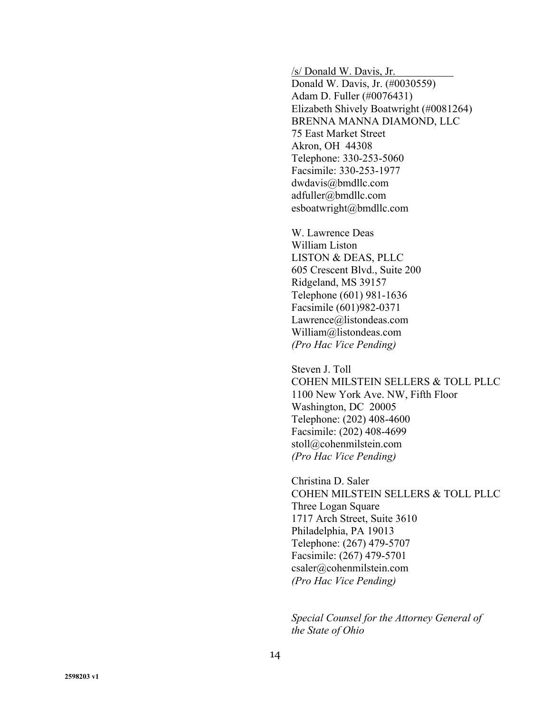/s/ Donald W. Davis, Jr.

 Donald W. Davis, Jr. (#0030559) Adam D. Fuller (#0076431) Elizabeth Shively Boatwright (#0081264) BRENNA MANNA DIAMOND, LLC 75 East Market Street Akron, OH 44308 Telephone: 330-253-5060 Facsimile: 330-253-1977 dwdavis@bmdllc.com adfuller@bmdllc.com esboatwright@bmdllc.com

W. Lawrence Deas William Liston LISTON & DEAS, PLLC 605 Crescent Blvd., Suite 200 Ridgeland, MS 39157 Telephone (601) 981-1636 Facsimile (601)982-0371 Lawrence@listondeas.com William@listondeas.com *(Pro Hac Vice Pending)*

Steven J. Toll COHEN MILSTEIN SELLERS & TOLL PLLC 1100 New York Ave. NW, Fifth Floor Washington, DC 20005 Telephone: (202) 408-4600 Facsimile: (202) 408-4699 stoll@cohenmilstein.com *(Pro Hac Vice Pending)*

 Christina D. Saler COHEN MILSTEIN SELLERS & TOLL PLLC Three Logan Square 1717 Arch Street, Suite 3610 Philadelphia, PA 19013 Telephone: (267) 479-5707 Facsimile: (267) 479-5701 csaler@cohenmilstein.com *(Pro Hac Vice Pending)* 

*Special Counsel for the Attorney General of the State of Ohio*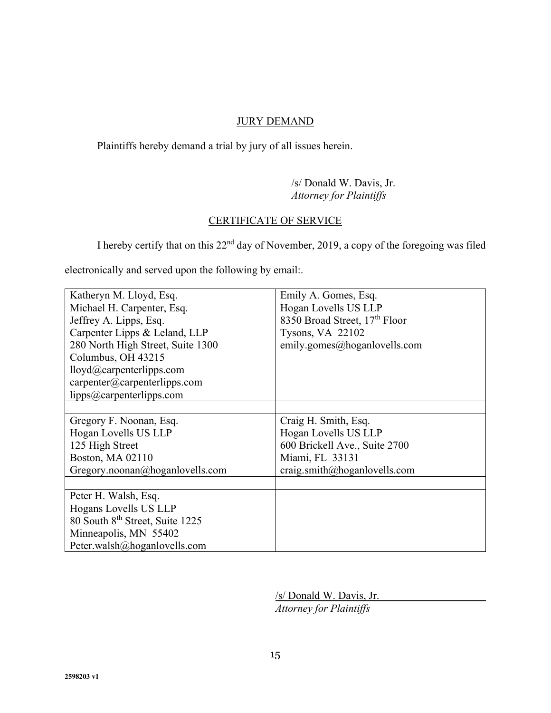# **JURY DEMAND**

Plaintiffs hereby demand a trial by jury of all issues herein.

 /s/ Donald W. Davis, Jr. *Attorney for Plaintiffs* 

# CERTIFICATE OF SERVICE

I hereby certify that on this 22nd day of November, 2019, a copy of the foregoing was filed

electronically and served upon the following by email:.

| Katheryn M. Lloyd, Esq.                      | Emily A. Gomes, Esq.          |
|----------------------------------------------|-------------------------------|
| Michael H. Carpenter, Esq.                   | Hogan Lovells US LLP          |
| Jeffrey A. Lipps, Esq.                       | 8350 Broad Street, 17th Floor |
| Carpenter Lipps & Leland, LLP                | Tysons, VA 22102              |
| 280 North High Street, Suite 1300            | emily.gomes@hoganlovells.com  |
| Columbus, OH 43215                           |                               |
| lloyd@carpenterlipps.com                     |                               |
| $capenter(\omega \text{carpenterlipps.com})$ |                               |
| lipps@carpenterlipps.com                     |                               |
|                                              |                               |
| Gregory F. Noonan, Esq.                      | Craig H. Smith, Esq.          |
| Hogan Lovells US LLP                         | Hogan Lovells US LLP          |
| 125 High Street                              | 600 Brickell Ave., Suite 2700 |
| Boston, MA 02110                             | Miami, FL 33131               |
| Gregory.noonan@hoganlovells.com              | craig.smith@hoganlovells.com  |
|                                              |                               |
| Peter H. Walsh, Esq.                         |                               |
| Hogans Lovells US LLP                        |                               |
| 80 South 8 <sup>th</sup> Street, Suite 1225  |                               |
| Minneapolis, MN 55402                        |                               |
| Peter.walsh@hoganlovells.com                 |                               |

 /s/ Donald W. Davis, Jr. *Attorney for Plaintiffs*